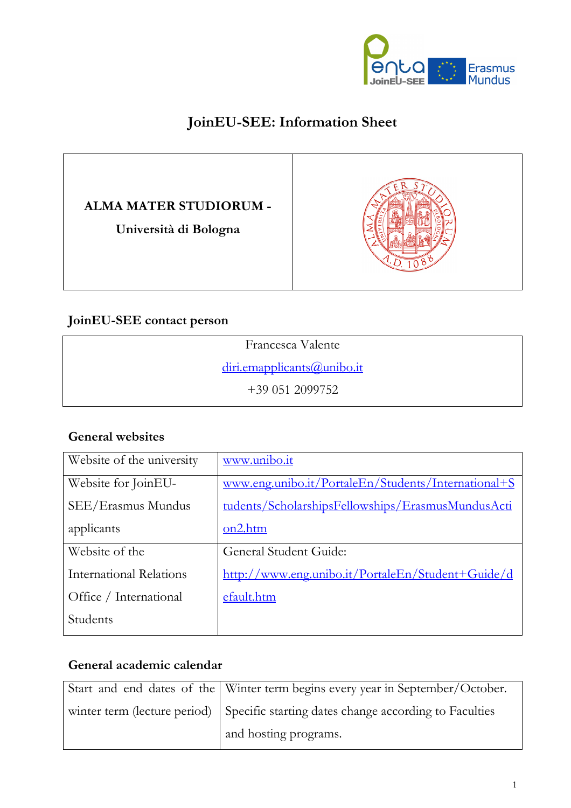

## **JoinEU-SEE: Information Sheet**

### **ALMA MATER STUDIORUM -**

**Università di Bologna** 



#### **JoinEU-SEE contact person**

#### **General websites**

| Website of the university      | www.unibo.it                                        |
|--------------------------------|-----------------------------------------------------|
| Website for JoinEU-            | www.eng.unibo.it/PortaleEn/Students/International+S |
| SEE/Erasmus Mundus             | tudents/ScholarshipsFellowships/ErasmusMundusActi   |
| applicants                     | on2.htm                                             |
| Website of the                 | General Student Guide:                              |
| <b>International Relations</b> | http://www.eng.unibo.it/PortaleEn/Student+Guide/d   |
| Office / International         | efault.htm                                          |
| Students                       |                                                     |

#### **General academic calendar**

| Start and end dates of the Winter term begins every year in September/October.     |
|------------------------------------------------------------------------------------|
| winter term (lecture period) Specific starting dates change according to Faculties |
| and hosting programs.                                                              |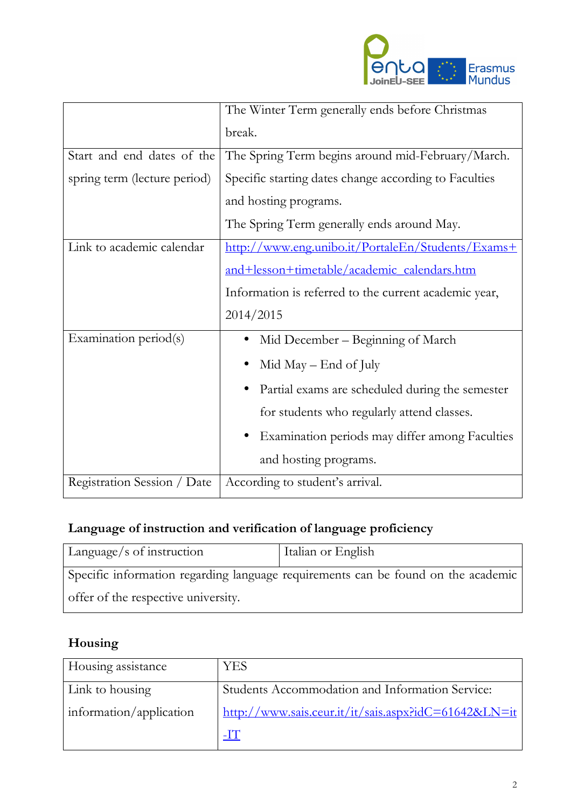

|                              | The Winter Term generally ends before Christmas       |
|------------------------------|-------------------------------------------------------|
|                              | break.                                                |
| Start and end dates of the   | The Spring Term begins around mid-February/March.     |
| spring term (lecture period) | Specific starting dates change according to Faculties |
|                              | and hosting programs.                                 |
|                              | The Spring Term generally ends around May.            |
| Link to academic calendar    | http://www.eng.unibo.it/PortaleEn/Students/Exams+     |
|                              | and+lesson+timetable/academic_calendars.htm           |
|                              | Information is referred to the current academic year, |
|                              | 2014/2015                                             |
| Examination period(s)        | Mid December - Beginning of March                     |
|                              | Mid May $-$ End of July                               |
|                              | Partial exams are scheduled during the semester       |
|                              | for students who regularly attend classes.            |
|                              | Examination periods may differ among Faculties        |
|                              | and hosting programs.                                 |
| Registration Session / Date  | According to student's arrival.                       |

# **Language of instruction and verification of language proficiency**

| Language/s of instruction           | Italian or English                                                                |
|-------------------------------------|-----------------------------------------------------------------------------------|
|                                     | Specific information regarding language requirements can be found on the academic |
| offer of the respective university. |                                                                                   |

# **Housing**

| Housing assistance      | <b>YES</b>                                                                     |
|-------------------------|--------------------------------------------------------------------------------|
| Link to housing         | Students Accommodation and Information Service:                                |
| information/application | $\frac{\text{http://www.sais.ceur.it/it/sais.aspx?idC=61642&LN=it}}{$<br>$-IT$ |